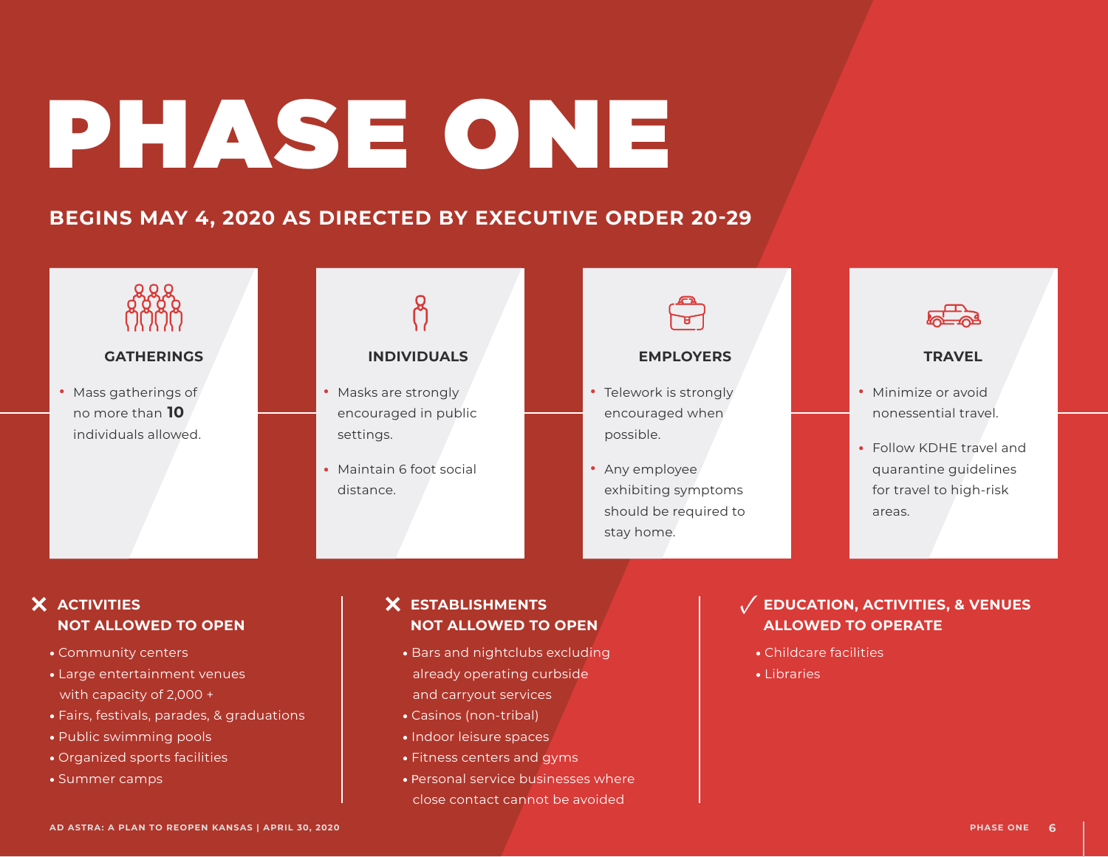# PHASE ONE

# **BEGINS MAY 4, 2020 AS DIRECTED BY EXECUTIVE ORDER 20-29**



### **GATHERINGS**

• Mass gatherings of no more than **10**  individuals allowed.



## **INDIVIDUALS**

- Mass gatherings of **All Contrary of All Contrary of All Contrary of All Contrary of All Contrary of All Contrary of All Contrary of All Contrary of All Contrary of All Contrary of All Contrary of All Contrary of All Cont** • Masks are strongly encouraged in public settings.
	- Maintain 6 foot social distance.



### **EMPLOYERS**

- encouraged when possible.
- Any employee exhibiting symptoms should be required to stay home.



### **TRAVEL**

- Minimize or avoid nonessential travel.
- Follow KDHE travel and � quarantine guidelines for travel to high-risk areas.

## **ACTIVITIES NOT ALLOWED TO OPEN**

- � Community centers
- � Large entertainment venues with capacity of 2,000 +
- � Fairs, festivals, parades, & graduations
- � Public swimming pools
- � Organized sports facilities
- � Summer camps

## **X** ESTABLISHMENTS  **NOT ALLOWED TO OPEN**

- � Bars and nightclubs excluding already operating curbside and carryout services **PHASE ONEXAMELOWED TO OPEN**<br> **PHASE ONEXAMELOWED TO OPEN**<br> **PHASE ONEXAMELOWED TO OPEN**<br> **PHASE ONEXAMELOWED TO OPERATE**<br> **PHASE ONEXAMELOWED TO OPERATE**<br> **PHASE ONEXAMELOWED TO OPERATE**<br> **PHASE ONEXAMELOWED TO OPERATE**<br>
	- � Casinos (non-tribal)
	- � Indoor leisure spaces
	- � Fitness centers and gyms
	- � Personal service businesses where close contact cannot be avoided

## $\sqrt{\phantom{a}}$  EDUCATION, ACTIVITIES, & VENUES  **ALLOWED TO OPERATE**

- � Childcare facilities
- � Libraries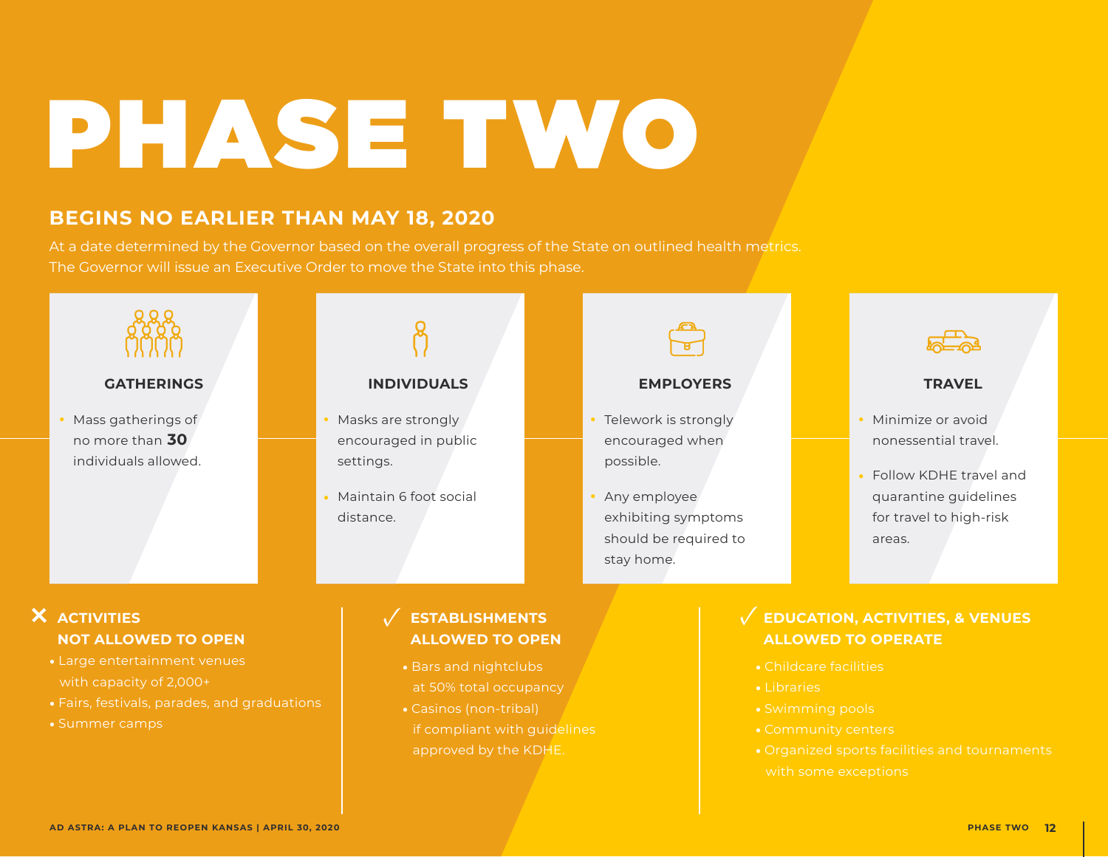# PHASE TWO

# **BEGINS NO EARLIER THAN MAY 18, 2020**

At a date determined by the Governor based on the overall progress of the State on outlined health metrics. The Governor will issue an Executive Order to move the State into this phase.



approved by the KDHE.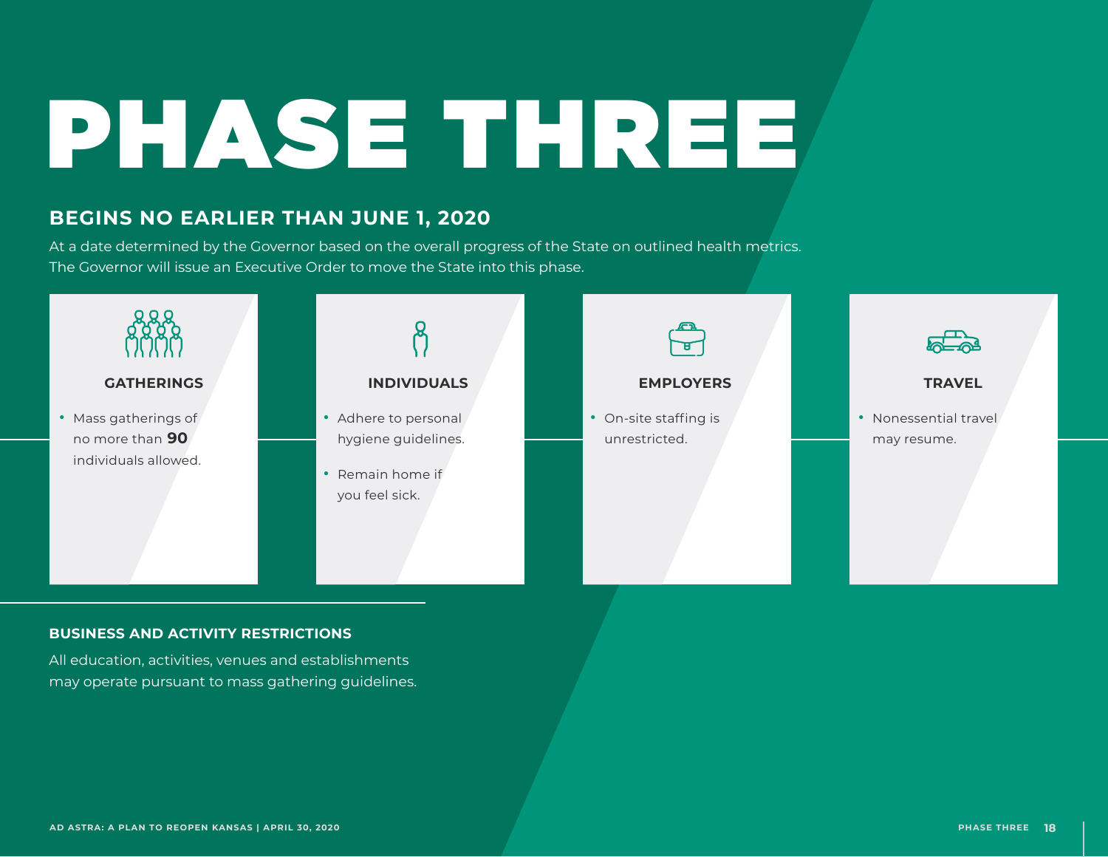# PHASE THREE

# **BEGINS NO EARLIER THAN JUNE 1, 2020**

At a date determined by the Governor based on the overall progress of the State on outlined health metrics. The Governor will issue an Executive Order to move the State into this phase.



### **BUSINESS AND ACTIVITY RESTRICTIONS**

All education, activities, venues and establishments may operate pursuant to mass gathering guidelines.